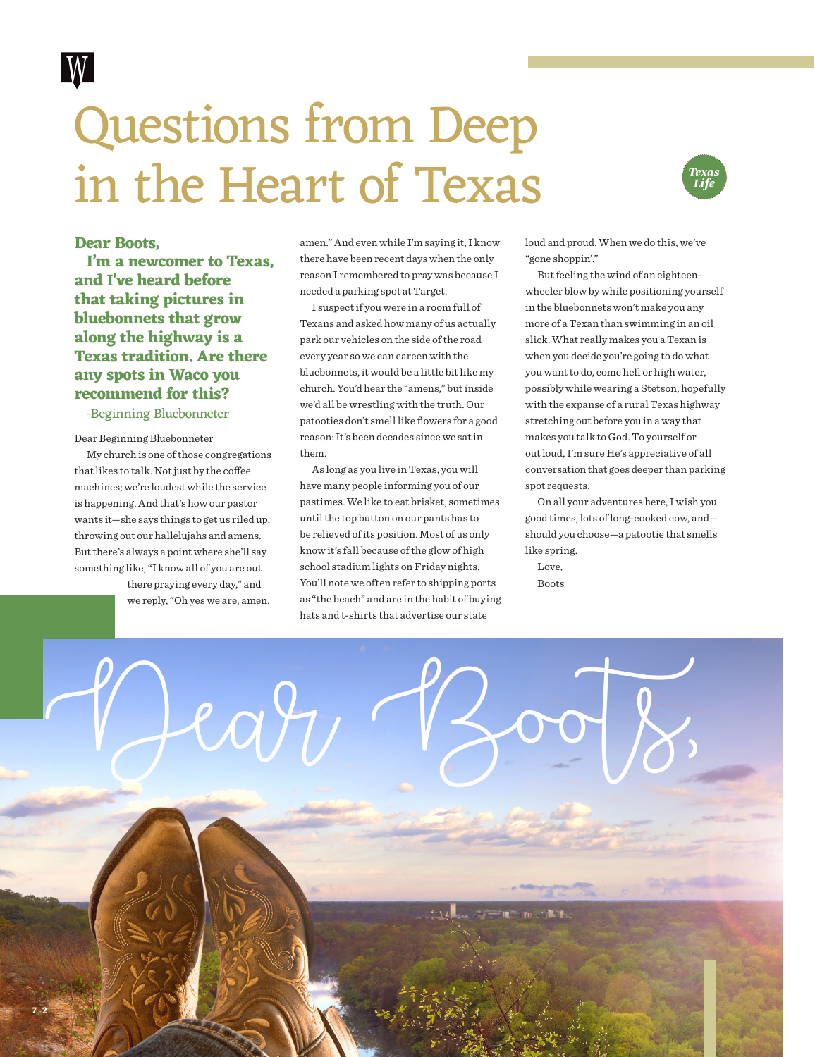## Questions from Deep in the Heart of Texas



**Dear Boots, I'm a newcomer to Texas, and I've heard before that taking pictures in bluebonnets that grow along the highway is a Texas tradition. Are there any spots in Waco you recommend for this?**

-Beginning Bluebonneter

Dear Beginning Bluebonneter My church is one of those congregations that likes to talk. Not just by the coffee machines; we're loudest while the service is happening. And that's how our pastor wants it—she says things to get us riled up, throwing out our hallelujahs and amens. But there's always a point where she'll say something like, "I know all of you are out

**7 2**

there praying every day," and we reply, "Oh yes we are, amen,

 $xaH$ 

amen." And even while I'm saying it, I know there have been recent days when the only reason I remembered to pray was because I needed a parking spot at Target.

I suspect if you were in a room full of Texans and asked how many of us actually park our vehicles on the side of the road every year so we can careen with the bluebonnets, it would be a little bit like my church. You'd hear the "amens," but inside we'd all be wrestling with the truth. Our patooties don't smell like flowers for a good reason: It's been decades since we sat in them.

As long as you live in Texas, you will have many people informing you of our pastimes. We like to eat brisket, sometimes until the top button on our pants has to be relieved of its position. Most of us only know it's fall because of the glow of high school stadium lights on Friday nights. You'll note we often refer to shipping ports as "the beach" and are in the habit of buying hats and t-shirts that advertise our state

loud and proud. When we do this, we've "gone shoppin'."

But feeling the wind of an eighteenwheeler blow by while positioning yourself in the bluebonnets won't make you any more of a Texan than swimming in an oil slick. What really makes you a Texan is when you decide you're going to do what you want to do, come hell or high water, possibly while wearing a Stetson, hopefully with the expanse of a rural Texas highway stretching out before you in a way that makes you talk to God. To yourself or out loud, I'm sure He's appreciative of all conversation that goes deeper than parking spot requests.

On all your adventures here, I wish you good times, lots of long-cooked cow, and should you choose—a patootie that smells like spring.

Love, Boots